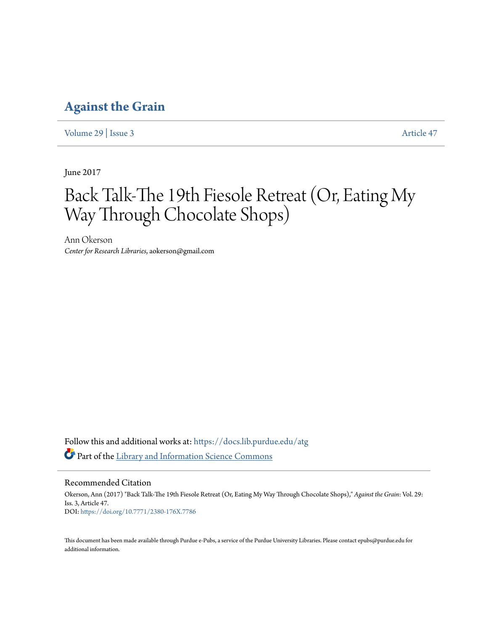## **[Against the Grain](https://docs.lib.purdue.edu/atg?utm_source=docs.lib.purdue.edu%2Fatg%2Fvol29%2Fiss3%2F47&utm_medium=PDF&utm_campaign=PDFCoverPages)**

[Volume 29](https://docs.lib.purdue.edu/atg/vol29?utm_source=docs.lib.purdue.edu%2Fatg%2Fvol29%2Fiss3%2F47&utm_medium=PDF&utm_campaign=PDFCoverPages) | [Issue 3](https://docs.lib.purdue.edu/atg/vol29/iss3?utm_source=docs.lib.purdue.edu%2Fatg%2Fvol29%2Fiss3%2F47&utm_medium=PDF&utm_campaign=PDFCoverPages) [Article 47](https://docs.lib.purdue.edu/atg/vol29/iss3/47?utm_source=docs.lib.purdue.edu%2Fatg%2Fvol29%2Fiss3%2F47&utm_medium=PDF&utm_campaign=PDFCoverPages)

June 2017

# Back Talk-The 19th Fiesole Retreat (Or, Eating My Way Through Chocolate Shops)

Ann Okerson *Center for Research Libraries*, aokerson@gmail.com

Follow this and additional works at: [https://docs.lib.purdue.edu/atg](https://docs.lib.purdue.edu/atg?utm_source=docs.lib.purdue.edu%2Fatg%2Fvol29%2Fiss3%2F47&utm_medium=PDF&utm_campaign=PDFCoverPages) Part of the [Library and Information Science Commons](http://network.bepress.com/hgg/discipline/1018?utm_source=docs.lib.purdue.edu%2Fatg%2Fvol29%2Fiss3%2F47&utm_medium=PDF&utm_campaign=PDFCoverPages)

Recommended Citation

Okerson, Ann (2017) "Back Talk-The 19th Fiesole Retreat (Or, Eating My Way Through Chocolate Shops)," *Against the Grain*: Vol. 29: Iss. 3, Article 47. DOI: <https://doi.org/10.7771/2380-176X.7786>

This document has been made available through Purdue e-Pubs, a service of the Purdue University Libraries. Please contact epubs@purdue.edu for additional information.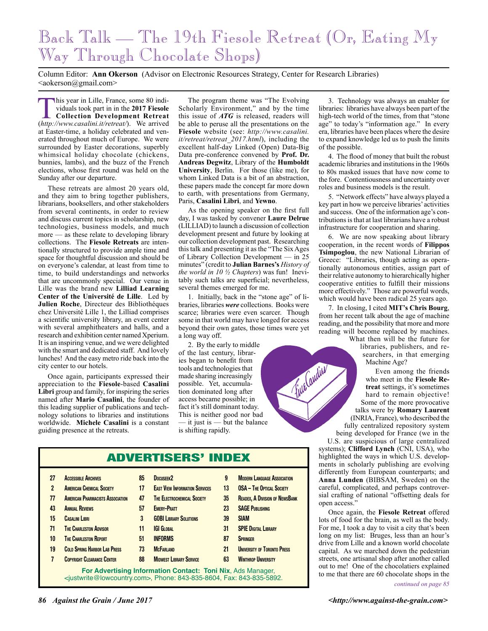# Back Talk — The 19th Fiesole Retreat (Or, Eating My Way Through Chocolate Shops)

Column Editor: **Ann Okerson** (Advisor on Electronic Resources Strategy, Center for Research Libraries) <aokerson@gmail.com>

This year in Lille, France, some 80 individuals took part in in the **2017 Fiesole Collection Development Retreat** (*http://www.casalini.it/retreat/*). We arrived at Easter-time, a holiday celebrated and venerated throughout much of Europe. We were surrounded by Easter decorations, superbly whimsical holiday chocolate (chickens, bunnies, lambs), and the buzz of the French elections, whose first round was held on the Sunday after our departure.

These retreats are almost 20 years old, and they aim to bring together publishers, librarians, booksellers, and other stakeholders from several continents, in order to review and discuss current topics in scholarship, new technologies, business models, and much more — as these relate to developing library collections. The **Fiesole Retreats** are intentionally structured to provide ample time and space for thoughtful discussion and should be on everyone's calendar, at least from time to time, to build understandings and networks that are uncommonly special. Our venue in Lille was the brand new **Lilliad Learning Center of the Université de Lille**. Led by **Julien Roche**, Directeur des Bibliothéques chez Université Lille 1, the Lilliad comprises a scientific university library, an event center with several amphitheaters and halls, and a research and exhibition center named Xperium. It is an inspiring venue, and we were delighted with the smart and dedicated staff. And lovely lunches! And the easy metro ride back into the city center to our hotels.

Once again, participants expressed their appreciation to the **Fiesole**-based **Casalini Libri** group and family, for inspiring the series named after **Mario Casalini**, the founder of this leading supplier of publications and technology solutions to libraries and institutions worldwide. **Michele Casalini** is a constant guiding presence at the retreats.

The program theme was "The Evolving Scholarly Environment," and by the time this issue of *ATG* is released, readers will be able to peruse all the presentations on the **Fiesole** website (see: *http://www.casalini. it/retreat/retreat\_2017.html*), including the excellent half-day Linked (Open) Data-Big Data pre-conference convened by **Prof. Dr. Andreas Degwitz**, Library of the **Humboldt University**, Berlin. For those (like me), for whom Linked Data is a bit of an abstraction, these papers made the concept far more down to earth, with presentations from Germany, Paris, **Casalini Libri**, and **Yewno**.

As the opening speaker on the first full day, I was tasked by convener **Laure Delrue** (LILLIAD) to launch a discussion of collection development present and future by looking at our collection development past. Researching this talk and presenting it as the "The Six Ages of Library Collection Development — in 25 minutes" (credit to **Julian Barnes's** *History of the world in 10 ½ Chapters*) was fun! Inevitably such talks are superficial; nevertheless, several themes emerged for me.

1. Initially, back in the "stone age" of libraries, libraries *were* collections. Books were scarce; libraries were even scarcer. Though some in that world may have longed for access beyond their own gates, those times were yet a long way off.

2. By the early to middle of the last century, libraries began to benefit from tools and technologies that made sharing increasingly possible. Yet, accumulation dominated long after access became possible; in fact it's still dominant today. This is neither good nor bad it just is  $-$  but the balance is shifting rapidly.

ADVERTISERS' INDEX

- **27 Accessible Archives**
- **2 American Chemical Society**
- **77 American Pharmacists Association**
- **43 Annual Reviews**
- **15 CASALINI LIBRI**
- **71 THE CHARLESTON ADVISOR**
- **10 The Charleston Report**
- **19 Cold Spring Harbor Lab Press 7 Copyright Clearance Center**
- **51 INFORMS**
- **88 Midwest Library Service**

**For Advertising Information Contact: Toni Nix**, Ads Manager, <justwrite@lowcountry.com>, Phone: 843-835-8604, Fax: 843-835-5892.

3. Technology was always an enabler for libraries: libraries have always been part of the high-tech world of the times, from that "stone age" to today's "information age." In every era, libraries have been places where the desire to expand knowledge led us to push the limits of the possible.

4. The flood of money that built the robust academic libraries and institutions in the 1960s to 80s masked issues that have now come to the fore. Contentiousness and uncertainty over roles and business models is the result.

5. "Network effects" have always played a key part in how we perceive libraries' activities and success. One of the information age's contributions is that at last librarians have a robust infrastructure for cooperation and sharing.

6. We are now speaking about library cooperation, in the recent words of **Filippos Tsimpoglou**, the new National Librarian of Greece: "Libraries, though acting as operationally autonomous entities, assign part of their relative autonomy to hierarchically higher cooperative entities to fulfill their missions more effectively." Those are powerful words, which would have been radical 25 years ago.

7. In closing, I cited **MIT's Chris Bourg**, from her recent talk about the age of machine reading, and the possibility that more and more reading will become replaced by machines.

What then will be the future for libraries, publishers, and researchers, in that emerging Machine Age?

Even among the friends who meet in the **Fiesole Retreat** settings, it's sometimes hard to remain objective! Some of the more provocative talks were by **Romary Laurent** (INRIA, France), who described the fully centralized repository system being developed for France (we in the U.S. are suspicious of large centralized

systems); **Clifford Lynch** (CNI, USA), who highlighted the ways in which U.S. developments in scholarly publishing are evolving differently from European counterparts; and **Anna Lunden** (BIBSAM, Sweden) on the careful, complicated, and perhaps controversial crafting of national "offsetting deals for open access."

Once again, the **Fiesole Retreat** offered lots of food for the brain, as well as the body. For me, I took a day to visit a city that's been long on my list: Bruges, less than an hour's drive from Lille and a known world chocolate capital. As we marched down the pedestrian streets, one artisanal shop after another called out to me! One of the chocolatiers explained to me that there are 60 chocolate shops in the

- **13 OSA The Optical Society 35 Readex, A Division of NewsBank 23 SAGE Publishing**
	- **39 SIAM**
		- **31 SPIE Digital Library 87 Springer**
		- **21 University of Toronto Press**

**9 Modern Language Association**

Time audity

### **17 East View Information Services 47 The Electrochemical Society**

- **57 Emery-Pratt**
- **3 GOBI LIBRARY SOLUTIONS**
- **11 IGI Global**

**85 Docuseek2**

- **73 McFarland**
- 

*continued on page 85*